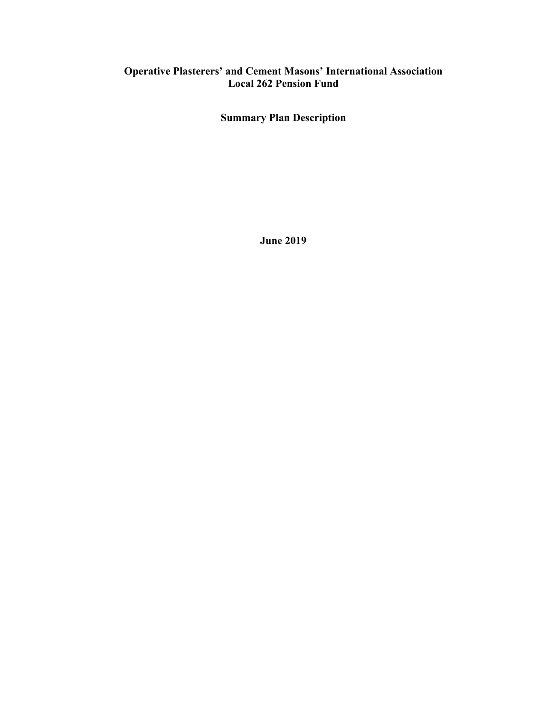# **Operative Plasterers' and Cement Masons' International Association Local 262 Pension Fund**

**Summary Plan Description**

**June 2019**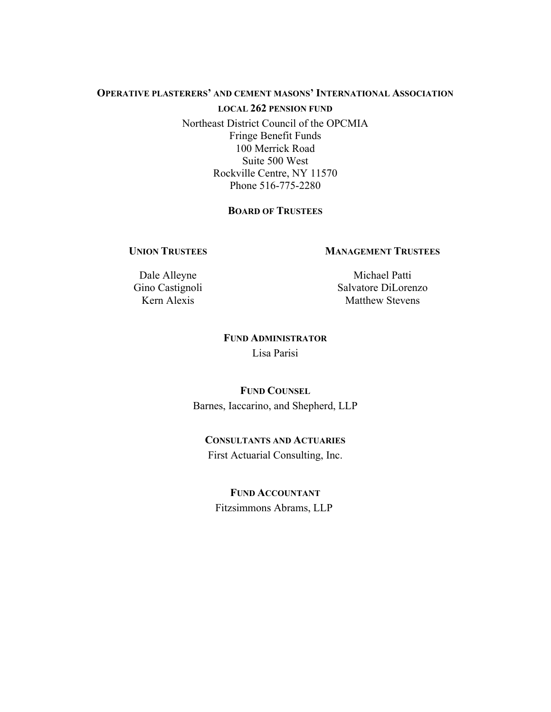### **OPERATIVE PLASTERERS' AND CEMENT MASONS' INTERNATIONAL ASSOCIATION**

#### **LOCAL 262 PENSION FUND**

Northeast District Council of the OPCMIA Fringe Benefit Funds 100 Merrick Road Suite 500 West Rockville Centre, NY 11570 Phone 516-775-2280

# **BOARD OF TRUSTEES**

### **UNION TRUSTEES**

### **MANAGEMENT TRUSTEES**

Dale Alleyne Gino Castignoli Kern Alexis

Michael Patti Salvatore DiLorenzo Matthew Stevens

# **FUND ADMINISTRATOR** Lisa Parisi

# **FUND COUNSEL** Barnes, Iaccarino, and Shepherd, LLP

# **CONSULTANTS AND ACTUARIES** First Actuarial Consulting, Inc.

# **FUND ACCOUNTANT** Fitzsimmons Abrams, LLP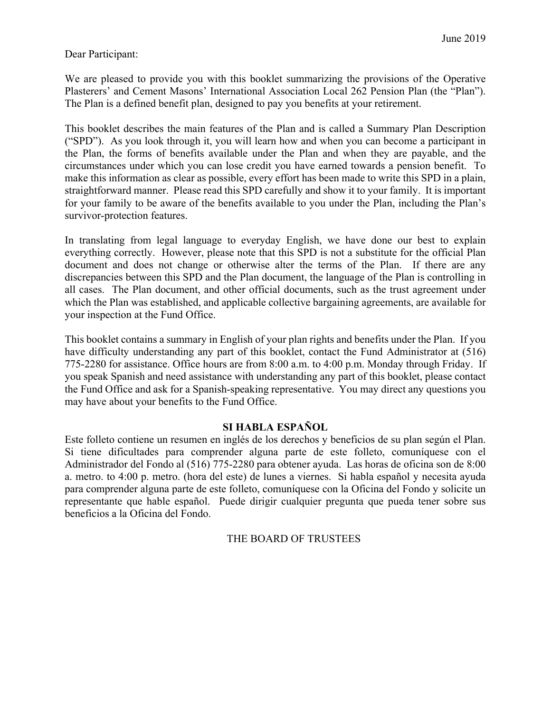# Dear Participant:

We are pleased to provide you with this booklet summarizing the provisions of the Operative Plasterers' and Cement Masons' International Association Local 262 Pension Plan (the "Plan"). The Plan is a defined benefit plan, designed to pay you benefits at your retirement.

This booklet describes the main features of the Plan and is called a Summary Plan Description ("SPD"). As you look through it, you will learn how and when you can become a participant in the Plan, the forms of benefits available under the Plan and when they are payable, and the circumstances under which you can lose credit you have earned towards a pension benefit. To make this information as clear as possible, every effort has been made to write this SPD in a plain, straightforward manner. Please read this SPD carefully and show it to your family. It is important for your family to be aware of the benefits available to you under the Plan, including the Plan's survivor-protection features.

In translating from legal language to everyday English, we have done our best to explain everything correctly. However, please note that this SPD is not a substitute for the official Plan document and does not change or otherwise alter the terms of the Plan. If there are any discrepancies between this SPD and the Plan document, the language of the Plan is controlling in all cases. The Plan document, and other official documents, such as the trust agreement under which the Plan was established, and applicable collective bargaining agreements, are available for your inspection at the Fund Office.

This booklet contains a summary in English of your plan rights and benefits under the Plan. If you have difficulty understanding any part of this booklet, contact the Fund Administrator at (516) 775-2280 for assistance. Office hours are from 8:00 a.m. to 4:00 p.m. Monday through Friday. If you speak Spanish and need assistance with understanding any part of this booklet, please contact the Fund Office and ask for a Spanish-speaking representative. You may direct any questions you may have about your benefits to the Fund Office.

# **SI HABLA ESPAÑOL**

Este folleto contiene un resumen en inglés de los derechos y beneficios de su plan según el Plan. Si tiene dificultades para comprender alguna parte de este folleto, comuníquese con el Administrador del Fondo al (516) 775-2280 para obtener ayuda. Las horas de oficina son de 8:00 a. metro. to 4:00 p. metro. (hora del este) de lunes a viernes. Si habla español y necesita ayuda para comprender alguna parte de este folleto, comuníquese con la Oficina del Fondo y solicite un representante que hable español. Puede dirigir cualquier pregunta que pueda tener sobre sus beneficios a la Oficina del Fondo.

# THE BOARD OF TRUSTEES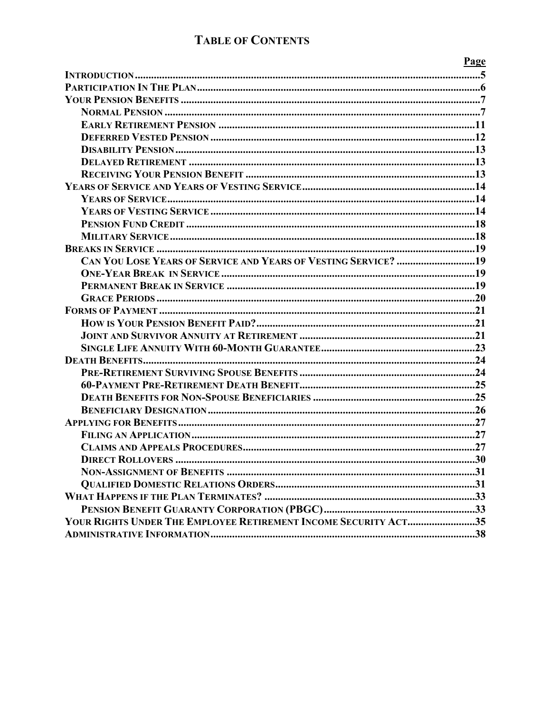# **TABLE OF CONTENTS**

|                                                                 | Page |
|-----------------------------------------------------------------|------|
|                                                                 |      |
|                                                                 |      |
|                                                                 |      |
|                                                                 |      |
|                                                                 |      |
|                                                                 |      |
|                                                                 |      |
|                                                                 |      |
|                                                                 |      |
|                                                                 |      |
|                                                                 |      |
|                                                                 |      |
|                                                                 |      |
|                                                                 |      |
|                                                                 |      |
| CAN YOU LOSE YEARS OF SERVICE AND YEARS OF VESTING SERVICE? 19  |      |
|                                                                 |      |
|                                                                 |      |
|                                                                 |      |
|                                                                 |      |
|                                                                 |      |
|                                                                 |      |
|                                                                 |      |
|                                                                 |      |
|                                                                 |      |
|                                                                 |      |
|                                                                 |      |
|                                                                 |      |
|                                                                 |      |
|                                                                 |      |
|                                                                 |      |
|                                                                 |      |
|                                                                 |      |
|                                                                 |      |
|                                                                 |      |
|                                                                 |      |
| YOUR RIGHTS UNDER THE EMPLOYEE RETIREMENT INCOME SECURITY ACT35 |      |
|                                                                 |      |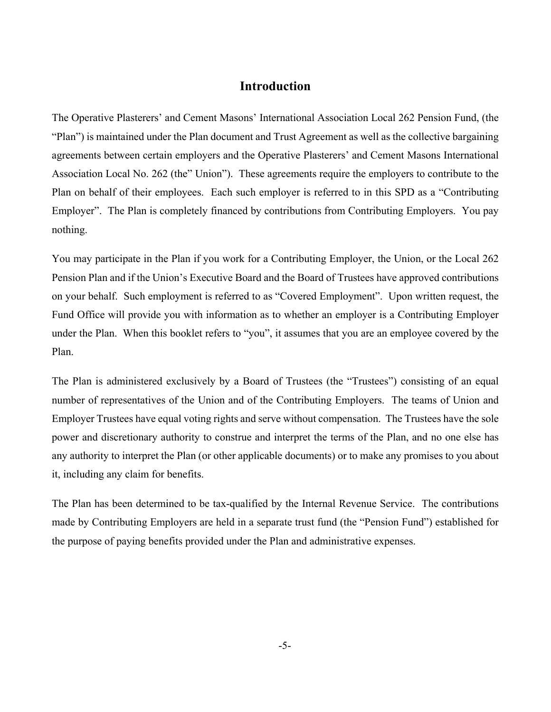# **Introduction**

The Operative Plasterers' and Cement Masons' International Association Local 262 Pension Fund, (the "Plan") is maintained under the Plan document and Trust Agreement as well as the collective bargaining agreements between certain employers and the Operative Plasterers' and Cement Masons International Association Local No. 262 (the" Union"). These agreements require the employers to contribute to the Plan on behalf of their employees. Each such employer is referred to in this SPD as a "Contributing Employer". The Plan is completely financed by contributions from Contributing Employers. You pay nothing.

You may participate in the Plan if you work for a Contributing Employer, the Union, or the Local 262 Pension Plan and if the Union's Executive Board and the Board of Trustees have approved contributions on your behalf. Such employment is referred to as "Covered Employment". Upon written request, the Fund Office will provide you with information as to whether an employer is a Contributing Employer under the Plan. When this booklet refers to "you", it assumes that you are an employee covered by the Plan.

The Plan is administered exclusively by a Board of Trustees (the "Trustees") consisting of an equal number of representatives of the Union and of the Contributing Employers. The teams of Union and Employer Trustees have equal voting rights and serve without compensation. The Trustees have the sole power and discretionary authority to construe and interpret the terms of the Plan, and no one else has any authority to interpret the Plan (or other applicable documents) or to make any promises to you about it, including any claim for benefits.

The Plan has been determined to be tax-qualified by the Internal Revenue Service. The contributions made by Contributing Employers are held in a separate trust fund (the "Pension Fund") established for the purpose of paying benefits provided under the Plan and administrative expenses.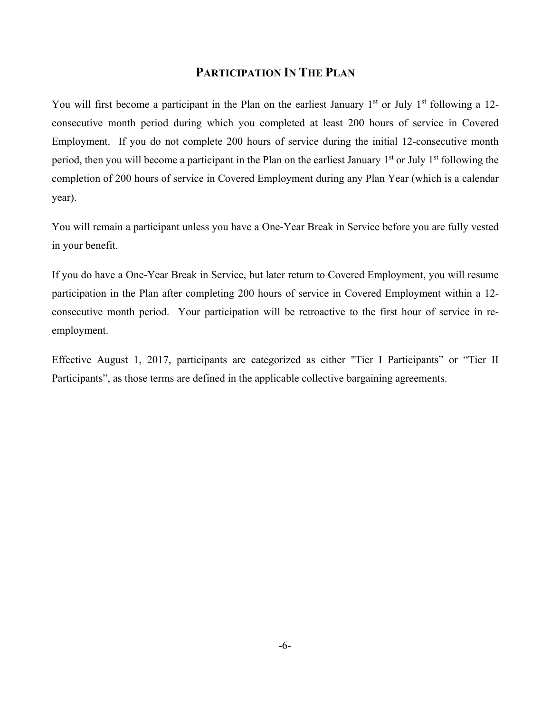# **PARTICIPATION IN THE PLAN**

You will first become a participant in the Plan on the earliest January  $1<sup>st</sup>$  or July  $1<sup>st</sup>$  following a 12consecutive month period during which you completed at least 200 hours of service in Covered Employment. If you do not complete 200 hours of service during the initial 12-consecutive month period, then you will become a participant in the Plan on the earliest January  $1<sup>st</sup>$  or July  $1<sup>st</sup>$  following the completion of 200 hours of service in Covered Employment during any Plan Year (which is a calendar year).

You will remain a participant unless you have a One-Year Break in Service before you are fully vested in your benefit.

If you do have a One-Year Break in Service, but later return to Covered Employment, you will resume participation in the Plan after completing 200 hours of service in Covered Employment within a 12 consecutive month period. Your participation will be retroactive to the first hour of service in reemployment.

Effective August 1, 2017, participants are categorized as either "Tier I Participants" or "Tier II Participants", as those terms are defined in the applicable collective bargaining agreements.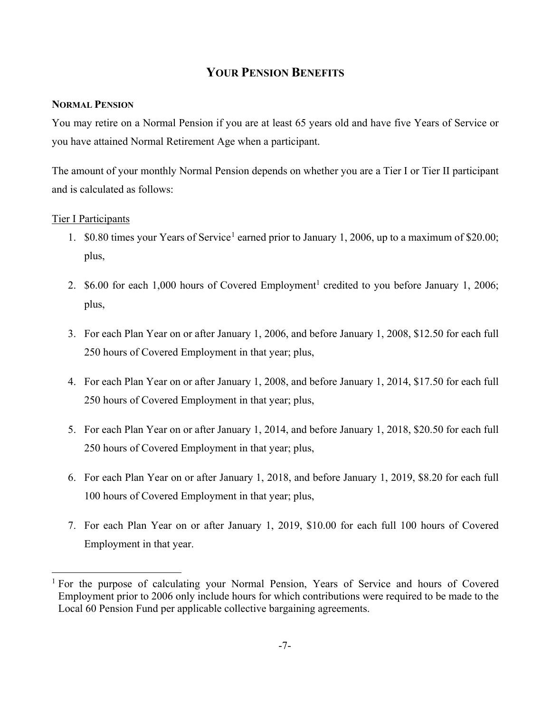# **YOUR PENSION BENEFITS**

## **NORMAL PENSION**

You may retire on a Normal Pension if you are at least 65 years old and have five Years of Service or you have attained Normal Retirement Age when a participant.

The amount of your monthly Normal Pension depends on whether you are a Tier I or Tier II participant and is calculated as follows:

# Tier I Participants

- [1](#page-6-0).  $$0.80$  times your Years of Service<sup>1</sup> earned prior to January 1, 2006, up to a maximum of \$20.00; plus,
- 2. \$6.00 for each 1,000 hours of Covered Employment<sup>1</sup> credited to you before January 1, 2006; plus,
- 3. For each Plan Year on or after January 1, 2006, and before January 1, 2008, \$12.50 for each full 250 hours of Covered Employment in that year; plus,
- 4. For each Plan Year on or after January 1, 2008, and before January 1, 2014, \$17.50 for each full 250 hours of Covered Employment in that year; plus,
- 5. For each Plan Year on or after January 1, 2014, and before January 1, 2018, \$20.50 for each full 250 hours of Covered Employment in that year; plus,
- 6. For each Plan Year on or after January 1, 2018, and before January 1, 2019, \$8.20 for each full 100 hours of Covered Employment in that year; plus,
- 7. For each Plan Year on or after January 1, 2019, \$10.00 for each full 100 hours of Covered Employment in that year.

<span id="page-6-0"></span><sup>&</sup>lt;sup>1</sup> For the purpose of calculating your Normal Pension, Years of Service and hours of Covered Employment prior to 2006 only include hours for which contributions were required to be made to the Local 60 Pension Fund per applicable collective bargaining agreements.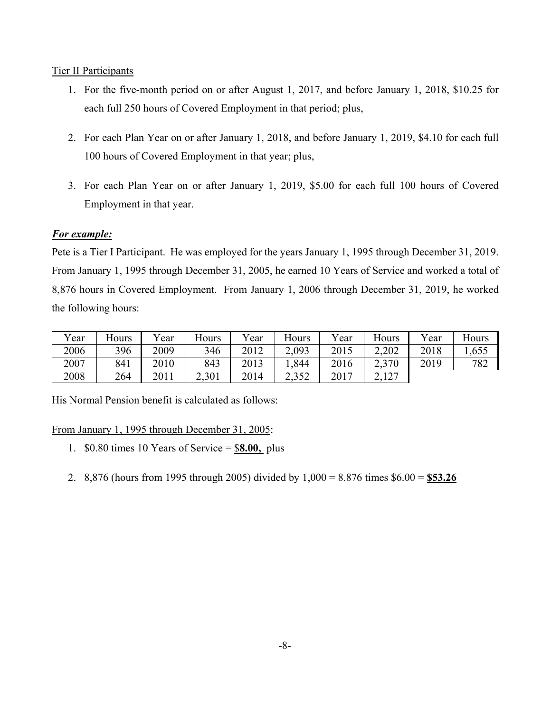# Tier II Participants

- 1. For the five-month period on or after August 1, 2017, and before January 1, 2018, \$10.25 for each full 250 hours of Covered Employment in that period; plus,
- 2. For each Plan Year on or after January 1, 2018, and before January 1, 2019, \$4.10 for each full 100 hours of Covered Employment in that year; plus,
- 3. For each Plan Year on or after January 1, 2019, \$5.00 for each full 100 hours of Covered Employment in that year.

# *For example:*

Pete is a Tier I Participant. He was employed for the years January 1, 1995 through December 31, 2019. From January 1, 1995 through December 31, 2005, he earned 10 Years of Service and worked a total of 8,876 hours in Covered Employment. From January 1, 2006 through December 31, 2019, he worked the following hours:

| Year | Hours | Year | Hours | Vear | Hours | Year | Hours                                  | $v_{\text{ear}}$ | Hours |
|------|-------|------|-------|------|-------|------|----------------------------------------|------------------|-------|
| 2006 | 396   | 2009 | 346   | 2012 | 2,093 | 2015 | 2,202                                  | 2018             | 1,655 |
| 2007 | 841   | 2010 | 843   | 2013 | ,844  | 2016 | 2,370<br>ل ہ⊿                          | 2019             | 782   |
| 2008 | 264   | 2011 | 2,301 | 2014 | 2,352 | 2017 | 127<br>$\overline{a}$ , $\overline{a}$ |                  |       |

His Normal Pension benefit is calculated as follows:

From January 1, 1995 through December 31, 2005:

- 1. \$0.80 times 10 Years of Service = \$**8.00,** plus
- 2. 8,876 (hours from 1995 through 2005) divided by 1,000 = 8.876 times \$6.00 = **\$53.26**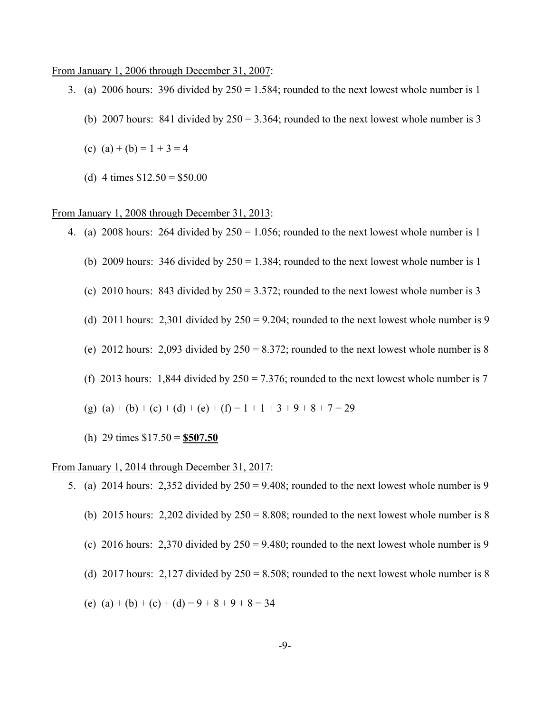#### From January 1, 2006 through December 31, 2007:

- 3. (a) 2006 hours: 396 divided by  $250 = 1.584$ ; rounded to the next lowest whole number is 1
	- (b) 2007 hours: 841 divided by  $250 = 3.364$ ; rounded to the next lowest whole number is 3
	- (c) (a) + (b) =  $1 + 3 = 4$
	- (d) 4 times  $$12.50 = $50.00$

#### From January 1, 2008 through December 31, 2013:

- 4. (a) 2008 hours: 264 divided by  $250 = 1.056$ ; rounded to the next lowest whole number is 1
	- (b) 2009 hours: 346 divided by  $250 = 1.384$ ; rounded to the next lowest whole number is 1
	- (c) 2010 hours: 843 divided by  $250 = 3.372$ ; rounded to the next lowest whole number is 3
	- (d) 2011 hours: 2,301 divided by  $250 = 9.204$ ; rounded to the next lowest whole number is 9
	- (e) 2012 hours: 2,093 divided by  $250 = 8.372$ ; rounded to the next lowest whole number is 8
	- (f) 2013 hours: 1,844 divided by  $250 = 7.376$ ; rounded to the next lowest whole number is 7
	- (g) (a) + (b) + (c) + (d) + (e) + (f) = 1 + 1 + 3 + 9 + 8 + 7 = 29
	- (h) 29 times \$17.50 = **\$507.50**

#### From January 1, 2014 through December 31, 2017:

5. (a) 2014 hours: 2,352 divided by  $250 = 9.408$ ; rounded to the next lowest whole number is 9 (b) 2015 hours: 2,202 divided by  $250 = 8.808$ ; rounded to the next lowest whole number is 8 (c) 2016 hours: 2,370 divided by  $250 = 9.480$ ; rounded to the next lowest whole number is 9 (d) 2017 hours: 2,127 divided by  $250 = 8.508$ ; rounded to the next lowest whole number is 8 (e) (a) + (b) + (c) + (d) =  $9 + 8 + 9 + 8 = 34$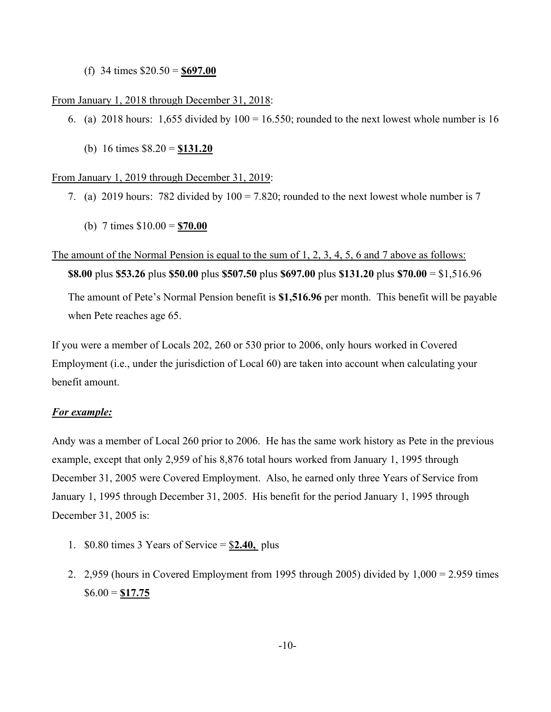(f) 34 times \$20.50 = **\$697.00**

### From January 1, 2018 through December 31, 2018:

- 6. (a) 2018 hours: 1,655 divided by  $100 = 16.550$ ; rounded to the next lowest whole number is 16
	- (b) 16 times \$8.20 = **\$131.20**

### From January 1, 2019 through December 31, 2019:

- 7. (a) 2019 hours: 782 divided by  $100 = 7.820$ ; rounded to the next lowest whole number is 7
	- (b) 7 times \$10.00 = **\$70.00**

### The amount of the Normal Pension is equal to the sum of 1, 2, 3, 4, 5, 6 and 7 above as follows:

**\$8.00** plus **\$53.26** plus **\$50.00** plus **\$507.50** plus **\$697.00** plus **\$131.20** plus **\$70.00** = \$1,516.96

The amount of Pete's Normal Pension benefit is **\$1,516.96** per month. This benefit will be payable when Pete reaches age 65.

If you were a member of Locals 202, 260 or 530 prior to 2006, only hours worked in Covered Employment (i.e., under the jurisdiction of Local 60) are taken into account when calculating your benefit amount.

# *For example:*

Andy was a member of Local 260 prior to 2006. He has the same work history as Pete in the previous example, except that only 2,959 of his 8,876 total hours worked from January 1, 1995 through December 31, 2005 were Covered Employment. Also, he earned only three Years of Service from January 1, 1995 through December 31, 2005. His benefit for the period January 1, 1995 through December 31, 2005 is:

- 1. \$0.80 times 3 Years of Service = \$**2.40,** plus
- 2. 2,959 (hours in Covered Employment from 1995 through 2005) divided by 1,000 = 2.959 times \$6.00 = **\$17.75**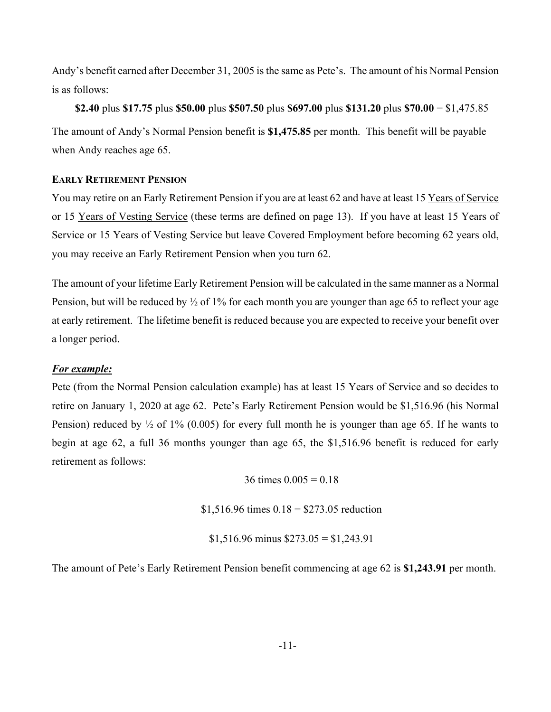Andy's benefit earned after December 31, 2005 is the same as Pete's. The amount of his Normal Pension is as follows:

**\$2.40** plus **\$17.75** plus **\$50.00** plus **\$507.50** plus **\$697.00** plus **\$131.20** plus **\$70.00** = \$1,475.85 The amount of Andy's Normal Pension benefit is **\$1,475.85** per month. This benefit will be payable when Andy reaches age 65.

### **EARLY RETIREMENT PENSION**

You may retire on an Early Retirement Pension if you are at least 62 and have at least 15 Years of Service or 15 Years of Vesting Service (these terms are defined on page 13). If you have at least 15 Years of Service or 15 Years of Vesting Service but leave Covered Employment before becoming 62 years old, you may receive an Early Retirement Pension when you turn 62.

The amount of your lifetime Early Retirement Pension will be calculated in the same manner as a Normal Pension, but will be reduced by  $\frac{1}{2}$  of 1% for each month you are younger than age 65 to reflect your age at early retirement. The lifetime benefit is reduced because you are expected to receive your benefit over a longer period.

# *For example:*

Pete (from the Normal Pension calculation example) has at least 15 Years of Service and so decides to retire on January 1, 2020 at age 62. Pete's Early Retirement Pension would be \$1,516.96 (his Normal Pension) reduced by  $\frac{1}{2}$  of 1% (0.005) for every full month he is younger than age 65. If he wants to begin at age 62, a full 36 months younger than age 65, the \$1,516.96 benefit is reduced for early retirement as follows:

36 times  $0.005 = 0.18$ 

 $$1,516.96$  times  $0.18 = $273.05$  reduction

 $$1,516.96$  minus  $$273.05 = $1,243.91$ 

The amount of Pete's Early Retirement Pension benefit commencing at age 62 is **\$1,243.91** per month.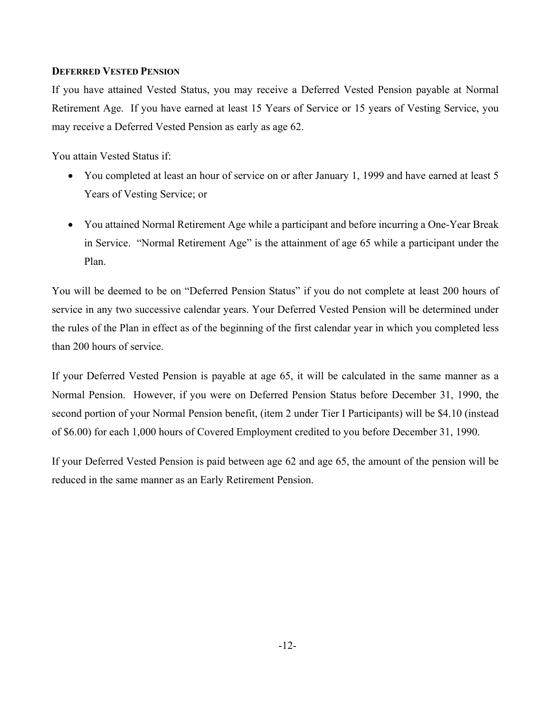# **DEFERRED VESTED PENSION**

If you have attained Vested Status, you may receive a Deferred Vested Pension payable at Normal Retirement Age. If you have earned at least 15 Years of Service or 15 years of Vesting Service, you may receive a Deferred Vested Pension as early as age 62.

You attain Vested Status if:

- You completed at least an hour of service on or after January 1, 1999 and have earned at least 5 Years of Vesting Service; or
- You attained Normal Retirement Age while a participant and before incurring a One-Year Break in Service. "Normal Retirement Age" is the attainment of age 65 while a participant under the Plan.

You will be deemed to be on "Deferred Pension Status" if you do not complete at least 200 hours of service in any two successive calendar years. Your Deferred Vested Pension will be determined under the rules of the Plan in effect as of the beginning of the first calendar year in which you completed less than 200 hours of service.

If your Deferred Vested Pension is payable at age 65, it will be calculated in the same manner as a Normal Pension. However, if you were on Deferred Pension Status before December 31, 1990, the second portion of your Normal Pension benefit, (item 2 under Tier I Participants) will be \$4.10 (instead of \$6.00) for each 1,000 hours of Covered Employment credited to you before December 31, 1990.

If your Deferred Vested Pension is paid between age 62 and age 65, the amount of the pension will be reduced in the same manner as an Early Retirement Pension.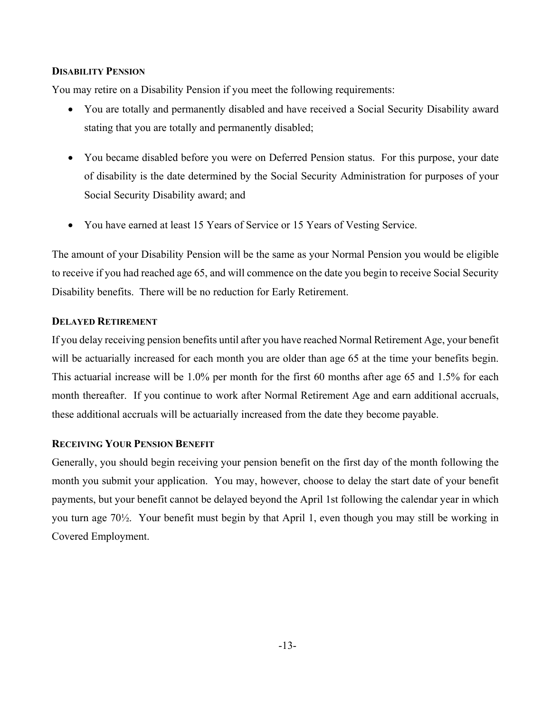### **DISABILITY PENSION**

You may retire on a Disability Pension if you meet the following requirements:

- You are totally and permanently disabled and have received a Social Security Disability award stating that you are totally and permanently disabled;
- You became disabled before you were on Deferred Pension status. For this purpose, your date of disability is the date determined by the Social Security Administration for purposes of your Social Security Disability award; and
- You have earned at least 15 Years of Service or 15 Years of Vesting Service.

The amount of your Disability Pension will be the same as your Normal Pension you would be eligible to receive if you had reached age 65, and will commence on the date you begin to receive Social Security Disability benefits. There will be no reduction for Early Retirement.

# **DELAYED RETIREMENT**

If you delay receiving pension benefits until after you have reached Normal Retirement Age, your benefit will be actuarially increased for each month you are older than age 65 at the time your benefits begin. This actuarial increase will be 1.0% per month for the first 60 months after age 65 and 1.5% for each month thereafter. If you continue to work after Normal Retirement Age and earn additional accruals, these additional accruals will be actuarially increased from the date they become payable.

# **RECEIVING YOUR PENSION BENEFIT**

Generally, you should begin receiving your pension benefit on the first day of the month following the month you submit your application. You may, however, choose to delay the start date of your benefit payments, but your benefit cannot be delayed beyond the April 1st following the calendar year in which you turn age 70½. Your benefit must begin by that April 1, even though you may still be working in Covered Employment.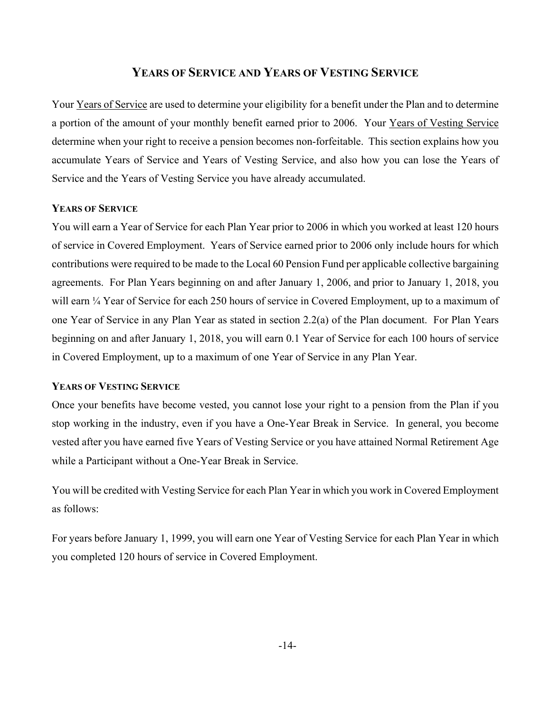# **YEARS OF SERVICE AND YEARS OF VESTING SERVICE**

Your Years of Service are used to determine your eligibility for a benefit under the Plan and to determine a portion of the amount of your monthly benefit earned prior to 2006. Your Years of Vesting Service determine when your right to receive a pension becomes non-forfeitable. This section explains how you accumulate Years of Service and Years of Vesting Service, and also how you can lose the Years of Service and the Years of Vesting Service you have already accumulated.

### **YEARS OF SERVICE**

You will earn a Year of Service for each Plan Year prior to 2006 in which you worked at least 120 hours of service in Covered Employment. Years of Service earned prior to 2006 only include hours for which contributions were required to be made to the Local 60 Pension Fund per applicable collective bargaining agreements. For Plan Years beginning on and after January 1, 2006, and prior to January 1, 2018, you will earn  $\frac{1}{4}$  Year of Service for each 250 hours of service in Covered Employment, up to a maximum of one Year of Service in any Plan Year as stated in section 2.2(a) of the Plan document. For Plan Years beginning on and after January 1, 2018, you will earn 0.1 Year of Service for each 100 hours of service in Covered Employment, up to a maximum of one Year of Service in any Plan Year.

### **YEARS OF VESTING SERVICE**

Once your benefits have become vested, you cannot lose your right to a pension from the Plan if you stop working in the industry, even if you have a One-Year Break in Service. In general, you become vested after you have earned five Years of Vesting Service or you have attained Normal Retirement Age while a Participant without a One-Year Break in Service.

You will be credited with Vesting Service for each Plan Year in which you work in Covered Employment as follows:

For years before January 1, 1999, you will earn one Year of Vesting Service for each Plan Year in which you completed 120 hours of service in Covered Employment.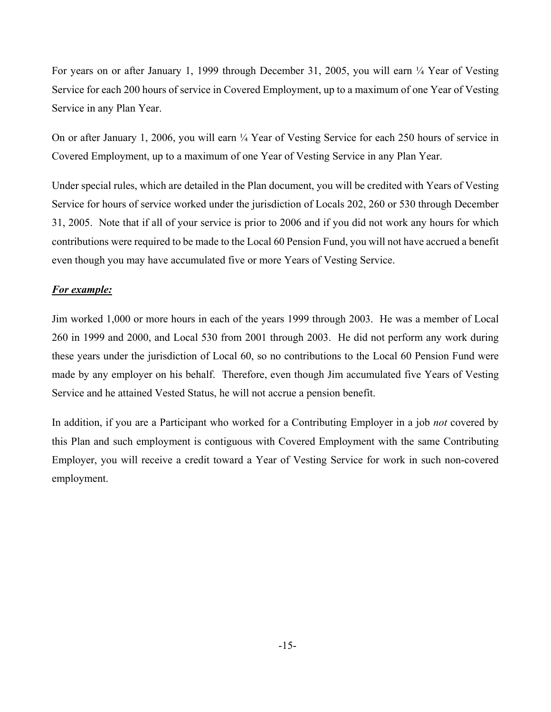For years on or after January 1, 1999 through December 31, 2005, you will earn ¼ Year of Vesting Service for each 200 hours of service in Covered Employment, up to a maximum of one Year of Vesting Service in any Plan Year.

On or after January 1, 2006, you will earn ¼ Year of Vesting Service for each 250 hours of service in Covered Employment, up to a maximum of one Year of Vesting Service in any Plan Year.

Under special rules, which are detailed in the Plan document, you will be credited with Years of Vesting Service for hours of service worked under the jurisdiction of Locals 202, 260 or 530 through December 31, 2005. Note that if all of your service is prior to 2006 and if you did not work any hours for which contributions were required to be made to the Local 60 Pension Fund, you will not have accrued a benefit even though you may have accumulated five or more Years of Vesting Service.

# *For example:*

Jim worked 1,000 or more hours in each of the years 1999 through 2003. He was a member of Local 260 in 1999 and 2000, and Local 530 from 2001 through 2003. He did not perform any work during these years under the jurisdiction of Local 60, so no contributions to the Local 60 Pension Fund were made by any employer on his behalf. Therefore, even though Jim accumulated five Years of Vesting Service and he attained Vested Status, he will not accrue a pension benefit.

In addition, if you are a Participant who worked for a Contributing Employer in a job *not* covered by this Plan and such employment is contiguous with Covered Employment with the same Contributing Employer, you will receive a credit toward a Year of Vesting Service for work in such non-covered employment.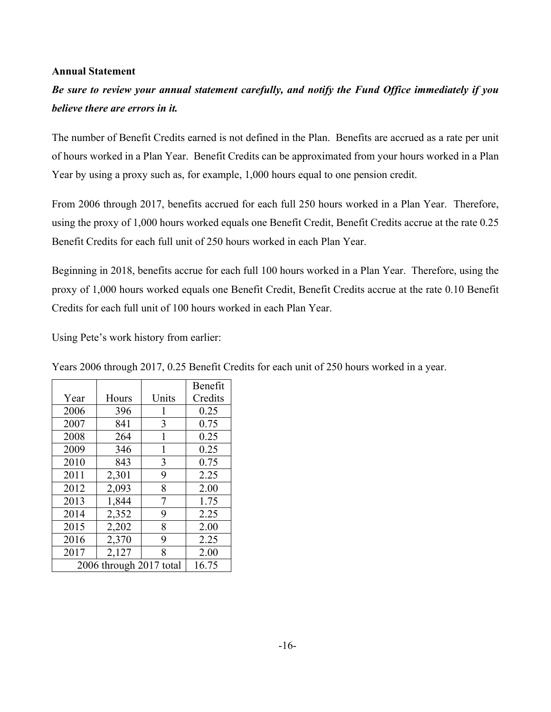### **Annual Statement**

*Be sure to review your annual statement carefully, and notify the Fund Office immediately if you believe there are errors in it.*

The number of Benefit Credits earned is not defined in the Plan. Benefits are accrued as a rate per unit of hours worked in a Plan Year. Benefit Credits can be approximated from your hours worked in a Plan Year by using a proxy such as, for example, 1,000 hours equal to one pension credit.

From 2006 through 2017, benefits accrued for each full 250 hours worked in a Plan Year. Therefore, using the proxy of 1,000 hours worked equals one Benefit Credit, Benefit Credits accrue at the rate 0.25 Benefit Credits for each full unit of 250 hours worked in each Plan Year.

Beginning in 2018, benefits accrue for each full 100 hours worked in a Plan Year. Therefore, using the proxy of 1,000 hours worked equals one Benefit Credit, Benefit Credits accrue at the rate 0.10 Benefit Credits for each full unit of 100 hours worked in each Plan Year.

Using Pete's work history from earlier:

|                         |       |       | Benefit |
|-------------------------|-------|-------|---------|
| Year                    | Hours | Units | Credits |
| 2006                    | 396   | 1     | 0.25    |
| 2007                    | 841   | 3     | 0.75    |
| 2008                    | 264   | 1     | 0.25    |
| 2009                    | 346   | 1     | 0.25    |
| 2010                    | 843   | 3     | 0.75    |
| 2011                    | 2,301 | 9     | 2.25    |
| 2012                    | 2,093 | 8     | 2.00    |
| 2013                    | 1,844 | 7     | 1.75    |
| 2014                    | 2,352 | 9     | 2.25    |
| 2015                    | 2,202 | 8     | 2.00    |
| 2016                    | 2,370 | 9     | 2.25    |
| 2017                    | 2,127 | 8     | 2.00    |
| 2006 through 2017 total | 16.75 |       |         |

Years 2006 through 2017, 0.25 Benefit Credits for each unit of 250 hours worked in a year.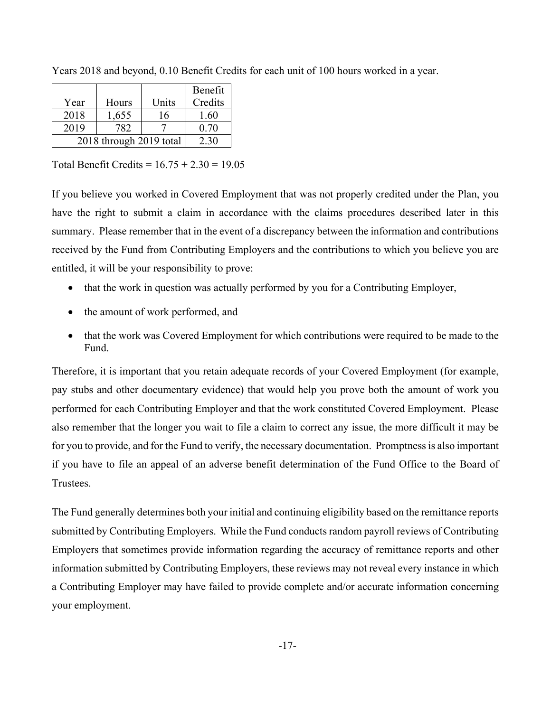|                         |       |       | Benefit |
|-------------------------|-------|-------|---------|
| Year                    | Hours | Units | Credits |
| 2018                    | 1,655 | 16    | 1.60    |
| 2019                    | 782   |       | 0.70    |
| 2018 through 2019 total | 2.30  |       |         |

Years 2018 and beyond, 0.10 Benefit Credits for each unit of 100 hours worked in a year.

Total Benefit Credits =  $16.75 + 2.30 = 19.05$ 

If you believe you worked in Covered Employment that was not properly credited under the Plan, you have the right to submit a claim in accordance with the claims procedures described later in this summary. Please remember that in the event of a discrepancy between the information and contributions received by the Fund from Contributing Employers and the contributions to which you believe you are entitled, it will be your responsibility to prove:

- that the work in question was actually performed by you for a Contributing Employer,
- the amount of work performed, and
- that the work was Covered Employment for which contributions were required to be made to the Fund.

Therefore, it is important that you retain adequate records of your Covered Employment (for example, pay stubs and other documentary evidence) that would help you prove both the amount of work you performed for each Contributing Employer and that the work constituted Covered Employment. Please also remember that the longer you wait to file a claim to correct any issue, the more difficult it may be for you to provide, and for the Fund to verify, the necessary documentation. Promptness is also important if you have to file an appeal of an adverse benefit determination of the Fund Office to the Board of Trustees.

The Fund generally determines both your initial and continuing eligibility based on the remittance reports submitted by Contributing Employers. While the Fund conducts random payroll reviews of Contributing Employers that sometimes provide information regarding the accuracy of remittance reports and other information submitted by Contributing Employers, these reviews may not reveal every instance in which a Contributing Employer may have failed to provide complete and/or accurate information concerning your employment.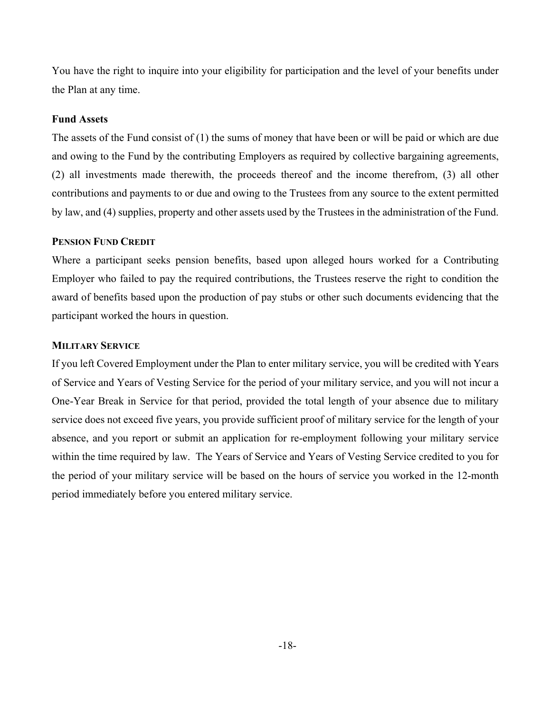You have the right to inquire into your eligibility for participation and the level of your benefits under the Plan at any time.

# **Fund Assets**

The assets of the Fund consist of (1) the sums of money that have been or will be paid or which are due and owing to the Fund by the contributing Employers as required by collective bargaining agreements, (2) all investments made therewith, the proceeds thereof and the income therefrom, (3) all other contributions and payments to or due and owing to the Trustees from any source to the extent permitted by law, and (4) supplies, property and other assets used by the Trustees in the administration of the Fund.

### **PENSION FUND CREDIT**

Where a participant seeks pension benefits, based upon alleged hours worked for a Contributing Employer who failed to pay the required contributions, the Trustees reserve the right to condition the award of benefits based upon the production of pay stubs or other such documents evidencing that the participant worked the hours in question.

### **MILITARY SERVICE**

If you left Covered Employment under the Plan to enter military service, you will be credited with Years of Service and Years of Vesting Service for the period of your military service, and you will not incur a One-Year Break in Service for that period, provided the total length of your absence due to military service does not exceed five years, you provide sufficient proof of military service for the length of your absence, and you report or submit an application for re-employment following your military service within the time required by law. The Years of Service and Years of Vesting Service credited to you for the period of your military service will be based on the hours of service you worked in the 12-month period immediately before you entered military service.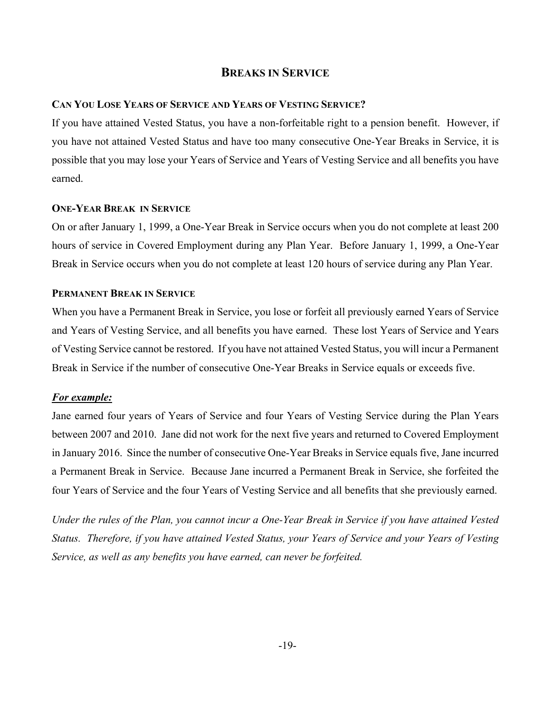# **BREAKS IN SERVICE**

# **CAN YOU LOSE YEARS OF SERVICE AND YEARS OF VESTING SERVICE?**

If you have attained Vested Status, you have a non-forfeitable right to a pension benefit. However, if you have not attained Vested Status and have too many consecutive One-Year Breaks in Service, it is possible that you may lose your Years of Service and Years of Vesting Service and all benefits you have earned.

### **ONE-YEAR BREAK IN SERVICE**

On or after January 1, 1999, a One-Year Break in Service occurs when you do not complete at least 200 hours of service in Covered Employment during any Plan Year. Before January 1, 1999, a One-Year Break in Service occurs when you do not complete at least 120 hours of service during any Plan Year.

# **PERMANENT BREAK IN SERVICE**

When you have a Permanent Break in Service, you lose or forfeit all previously earned Years of Service and Years of Vesting Service, and all benefits you have earned. These lost Years of Service and Years of Vesting Service cannot be restored. If you have not attained Vested Status, you will incur a Permanent Break in Service if the number of consecutive One-Year Breaks in Service equals or exceeds five.

# *For example:*

Jane earned four years of Years of Service and four Years of Vesting Service during the Plan Years between 2007 and 2010. Jane did not work for the next five years and returned to Covered Employment in January 2016. Since the number of consecutive One-Year Breaks in Service equals five, Jane incurred a Permanent Break in Service. Because Jane incurred a Permanent Break in Service, she forfeited the four Years of Service and the four Years of Vesting Service and all benefits that she previously earned.

*Under the rules of the Plan, you cannot incur a One-Year Break in Service if you have attained Vested Status. Therefore, if you have attained Vested Status, your Years of Service and your Years of Vesting Service, as well as any benefits you have earned, can never be forfeited.*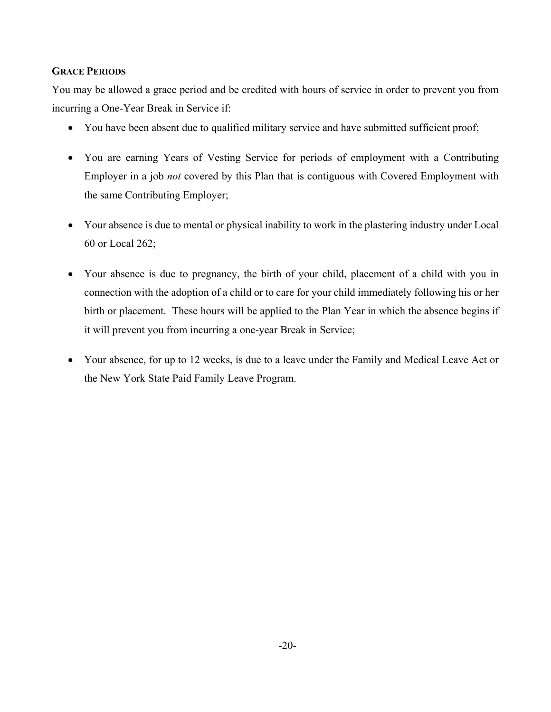# **GRACE PERIODS**

You may be allowed a grace period and be credited with hours of service in order to prevent you from incurring a One-Year Break in Service if:

- You have been absent due to qualified military service and have submitted sufficient proof;
- You are earning Years of Vesting Service for periods of employment with a Contributing Employer in a job *not* covered by this Plan that is contiguous with Covered Employment with the same Contributing Employer;
- Your absence is due to mental or physical inability to work in the plastering industry under Local 60 or Local 262;
- Your absence is due to pregnancy, the birth of your child, placement of a child with you in connection with the adoption of a child or to care for your child immediately following his or her birth or placement. These hours will be applied to the Plan Year in which the absence begins if it will prevent you from incurring a one-year Break in Service;
- Your absence, for up to 12 weeks, is due to a leave under the Family and Medical Leave Act or the New York State Paid Family Leave Program.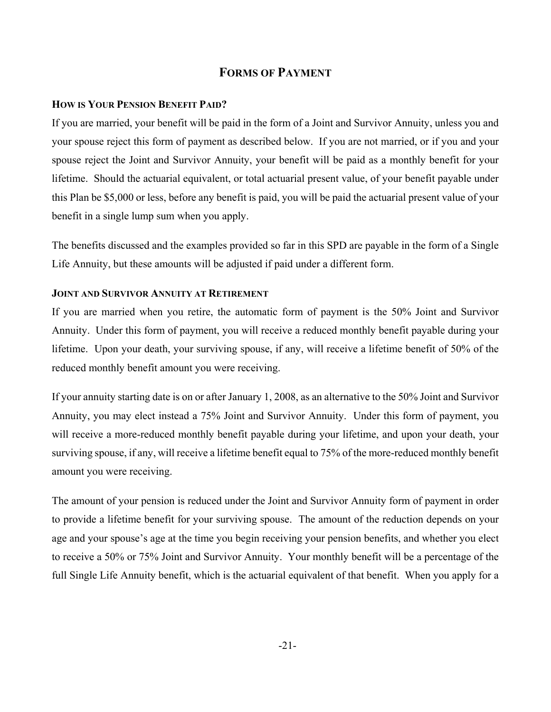# **FORMS OF PAYMENT**

### **HOW IS YOUR PENSION BENEFIT PAID?**

If you are married, your benefit will be paid in the form of a Joint and Survivor Annuity, unless you and your spouse reject this form of payment as described below. If you are not married, or if you and your spouse reject the Joint and Survivor Annuity, your benefit will be paid as a monthly benefit for your lifetime. Should the actuarial equivalent, or total actuarial present value, of your benefit payable under this Plan be \$5,000 or less, before any benefit is paid, you will be paid the actuarial present value of your benefit in a single lump sum when you apply.

The benefits discussed and the examples provided so far in this SPD are payable in the form of a Single Life Annuity, but these amounts will be adjusted if paid under a different form.

# **JOINT AND SURVIVOR ANNUITY AT RETIREMENT**

If you are married when you retire, the automatic form of payment is the 50% Joint and Survivor Annuity. Under this form of payment, you will receive a reduced monthly benefit payable during your lifetime. Upon your death, your surviving spouse, if any, will receive a lifetime benefit of 50% of the reduced monthly benefit amount you were receiving.

If your annuity starting date is on or after January 1, 2008, as an alternative to the 50% Joint and Survivor Annuity, you may elect instead a 75% Joint and Survivor Annuity. Under this form of payment, you will receive a more-reduced monthly benefit payable during your lifetime, and upon your death, your surviving spouse, if any, will receive a lifetime benefit equal to 75% of the more-reduced monthly benefit amount you were receiving.

The amount of your pension is reduced under the Joint and Survivor Annuity form of payment in order to provide a lifetime benefit for your surviving spouse. The amount of the reduction depends on your age and your spouse's age at the time you begin receiving your pension benefits, and whether you elect to receive a 50% or 75% Joint and Survivor Annuity. Your monthly benefit will be a percentage of the full Single Life Annuity benefit, which is the actuarial equivalent of that benefit. When you apply for a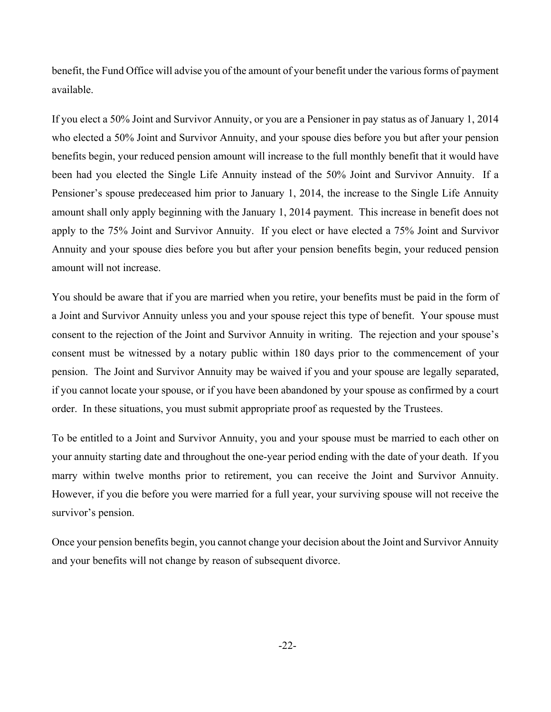benefit, the Fund Office will advise you of the amount of your benefit under the various forms of payment available.

If you elect a 50% Joint and Survivor Annuity, or you are a Pensioner in pay status as of January 1, 2014 who elected a 50% Joint and Survivor Annuity, and your spouse dies before you but after your pension benefits begin, your reduced pension amount will increase to the full monthly benefit that it would have been had you elected the Single Life Annuity instead of the 50% Joint and Survivor Annuity. If a Pensioner's spouse predeceased him prior to January 1, 2014, the increase to the Single Life Annuity amount shall only apply beginning with the January 1, 2014 payment. This increase in benefit does not apply to the 75% Joint and Survivor Annuity. If you elect or have elected a 75% Joint and Survivor Annuity and your spouse dies before you but after your pension benefits begin, your reduced pension amount will not increase.

You should be aware that if you are married when you retire, your benefits must be paid in the form of a Joint and Survivor Annuity unless you and your spouse reject this type of benefit. Your spouse must consent to the rejection of the Joint and Survivor Annuity in writing. The rejection and your spouse's consent must be witnessed by a notary public within 180 days prior to the commencement of your pension. The Joint and Survivor Annuity may be waived if you and your spouse are legally separated, if you cannot locate your spouse, or if you have been abandoned by your spouse as confirmed by a court order. In these situations, you must submit appropriate proof as requested by the Trustees.

To be entitled to a Joint and Survivor Annuity, you and your spouse must be married to each other on your annuity starting date and throughout the one-year period ending with the date of your death. If you marry within twelve months prior to retirement, you can receive the Joint and Survivor Annuity. However, if you die before you were married for a full year, your surviving spouse will not receive the survivor's pension.

Once your pension benefits begin, you cannot change your decision about the Joint and Survivor Annuity and your benefits will not change by reason of subsequent divorce.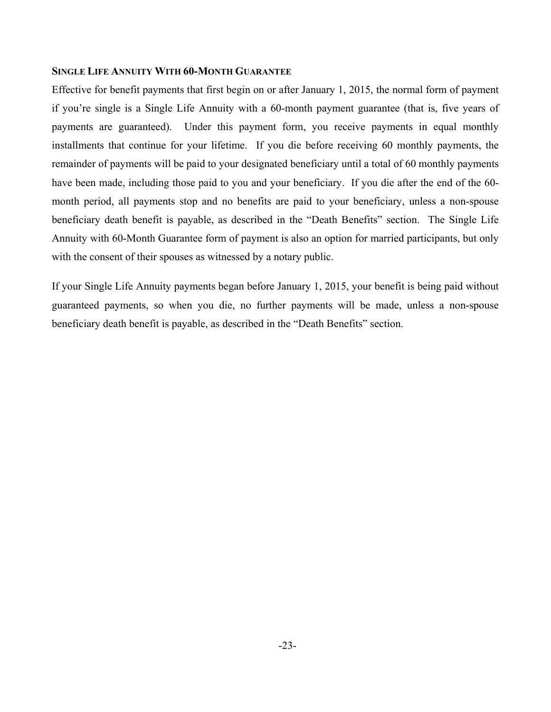### **SINGLE LIFE ANNUITY WITH 60-MONTH GUARANTEE**

Effective for benefit payments that first begin on or after January 1, 2015, the normal form of payment if you're single is a Single Life Annuity with a 60-month payment guarantee (that is, five years of payments are guaranteed). Under this payment form, you receive payments in equal monthly installments that continue for your lifetime. If you die before receiving 60 monthly payments, the remainder of payments will be paid to your designated beneficiary until a total of 60 monthly payments have been made, including those paid to you and your beneficiary. If you die after the end of the 60 month period, all payments stop and no benefits are paid to your beneficiary, unless a non-spouse beneficiary death benefit is payable, as described in the "Death Benefits" section. The Single Life Annuity with 60-Month Guarantee form of payment is also an option for married participants, but only with the consent of their spouses as witnessed by a notary public.

If your Single Life Annuity payments began before January 1, 2015, your benefit is being paid without guaranteed payments, so when you die, no further payments will be made, unless a non-spouse beneficiary death benefit is payable, as described in the "Death Benefits" section.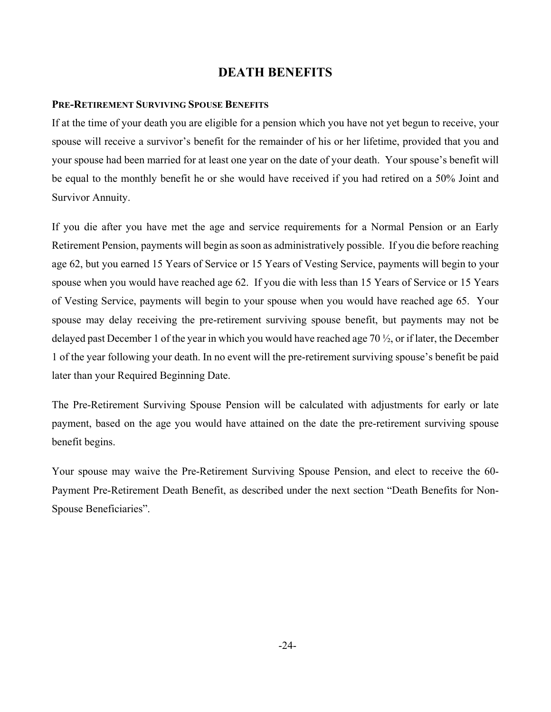# **DEATH BENEFITS**

## **PRE-RETIREMENT SURVIVING SPOUSE BENEFITS**

If at the time of your death you are eligible for a pension which you have not yet begun to receive, your spouse will receive a survivor's benefit for the remainder of his or her lifetime, provided that you and your spouse had been married for at least one year on the date of your death. Your spouse's benefit will be equal to the monthly benefit he or she would have received if you had retired on a 50% Joint and Survivor Annuity.

If you die after you have met the age and service requirements for a Normal Pension or an Early Retirement Pension, payments will begin as soon as administratively possible. If you die before reaching age 62, but you earned 15 Years of Service or 15 Years of Vesting Service, payments will begin to your spouse when you would have reached age 62. If you die with less than 15 Years of Service or 15 Years of Vesting Service, payments will begin to your spouse when you would have reached age 65. Your spouse may delay receiving the pre-retirement surviving spouse benefit, but payments may not be delayed past December 1 of the year in which you would have reached age 70 ½, or if later, the December 1 of the year following your death. In no event will the pre-retirement surviving spouse's benefit be paid later than your Required Beginning Date.

The Pre-Retirement Surviving Spouse Pension will be calculated with adjustments for early or late payment, based on the age you would have attained on the date the pre-retirement surviving spouse benefit begins.

Your spouse may waive the Pre-Retirement Surviving Spouse Pension, and elect to receive the 60- Payment Pre-Retirement Death Benefit, as described under the next section "Death Benefits for Non-Spouse Beneficiaries".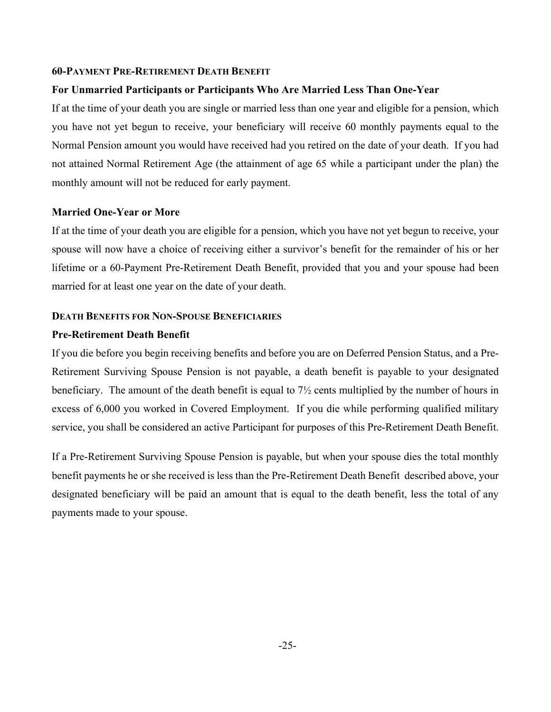#### **60-PAYMENT PRE-RETIREMENT DEATH BENEFIT**

### **For Unmarried Participants or Participants Who Are Married Less Than One-Year**

If at the time of your death you are single or married less than one year and eligible for a pension, which you have not yet begun to receive, your beneficiary will receive 60 monthly payments equal to the Normal Pension amount you would have received had you retired on the date of your death. If you had not attained Normal Retirement Age (the attainment of age 65 while a participant under the plan) the monthly amount will not be reduced for early payment.

### **Married One-Year or More**

If at the time of your death you are eligible for a pension, which you have not yet begun to receive, your spouse will now have a choice of receiving either a survivor's benefit for the remainder of his or her lifetime or a 60-Payment Pre-Retirement Death Benefit, provided that you and your spouse had been married for at least one year on the date of your death.

### **DEATH BENEFITS FOR NON-SPOUSE BENEFICIARIES**

### **Pre-Retirement Death Benefit**

If you die before you begin receiving benefits and before you are on Deferred Pension Status, and a Pre-Retirement Surviving Spouse Pension is not payable, a death benefit is payable to your designated beneficiary. The amount of the death benefit is equal to 7½ cents multiplied by the number of hours in excess of 6,000 you worked in Covered Employment. If you die while performing qualified military service, you shall be considered an active Participant for purposes of this Pre-Retirement Death Benefit.

If a Pre-Retirement Surviving Spouse Pension is payable, but when your spouse dies the total monthly benefit payments he or she received is less than the Pre-Retirement Death Benefit described above, your designated beneficiary will be paid an amount that is equal to the death benefit, less the total of any payments made to your spouse.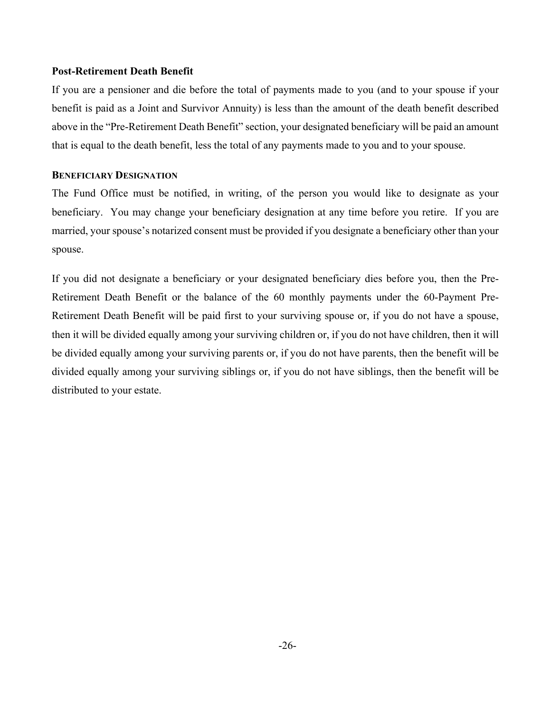### **Post-Retirement Death Benefit**

If you are a pensioner and die before the total of payments made to you (and to your spouse if your benefit is paid as a Joint and Survivor Annuity) is less than the amount of the death benefit described above in the "Pre-Retirement Death Benefit" section, your designated beneficiary will be paid an amount that is equal to the death benefit, less the total of any payments made to you and to your spouse.

### **BENEFICIARY DESIGNATION**

The Fund Office must be notified, in writing, of the person you would like to designate as your beneficiary. You may change your beneficiary designation at any time before you retire. If you are married, your spouse's notarized consent must be provided if you designate a beneficiary other than your spouse.

If you did not designate a beneficiary or your designated beneficiary dies before you, then the Pre-Retirement Death Benefit or the balance of the 60 monthly payments under the 60-Payment Pre-Retirement Death Benefit will be paid first to your surviving spouse or, if you do not have a spouse, then it will be divided equally among your surviving children or, if you do not have children, then it will be divided equally among your surviving parents or, if you do not have parents, then the benefit will be divided equally among your surviving siblings or, if you do not have siblings, then the benefit will be distributed to your estate.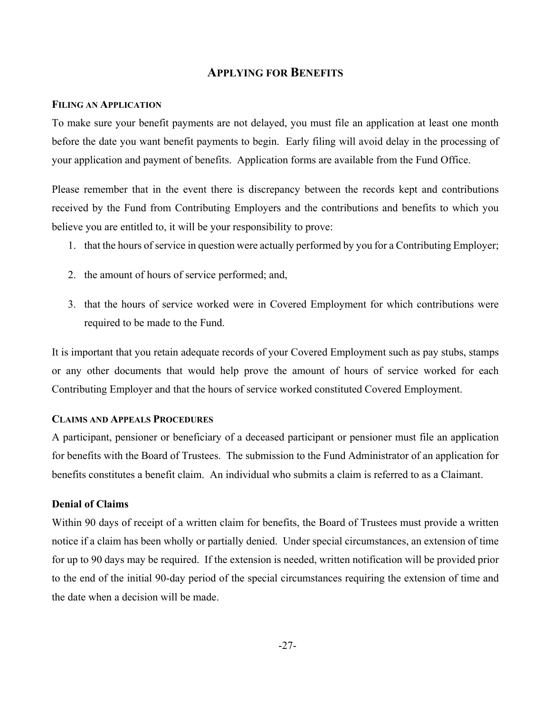# **APPLYING FOR BENEFITS**

### **FILING AN APPLICATION**

To make sure your benefit payments are not delayed, you must file an application at least one month before the date you want benefit payments to begin. Early filing will avoid delay in the processing of your application and payment of benefits. Application forms are available from the Fund Office.

Please remember that in the event there is discrepancy between the records kept and contributions received by the Fund from Contributing Employers and the contributions and benefits to which you believe you are entitled to, it will be your responsibility to prove:

- 1. that the hours of service in question were actually performed by you for a Contributing Employer;
- 2. the amount of hours of service performed; and,
- 3. that the hours of service worked were in Covered Employment for which contributions were required to be made to the Fund.

It is important that you retain adequate records of your Covered Employment such as pay stubs, stamps or any other documents that would help prove the amount of hours of service worked for each Contributing Employer and that the hours of service worked constituted Covered Employment.

### **CLAIMS AND APPEALS PROCEDURES**

A participant, pensioner or beneficiary of a deceased participant or pensioner must file an application for benefits with the Board of Trustees. The submission to the Fund Administrator of an application for benefits constitutes a benefit claim. An individual who submits a claim is referred to as a Claimant.

# **Denial of Claims**

Within 90 days of receipt of a written claim for benefits, the Board of Trustees must provide a written notice if a claim has been wholly or partially denied. Under special circumstances, an extension of time for up to 90 days may be required. If the extension is needed, written notification will be provided prior to the end of the initial 90-day period of the special circumstances requiring the extension of time and the date when a decision will be made.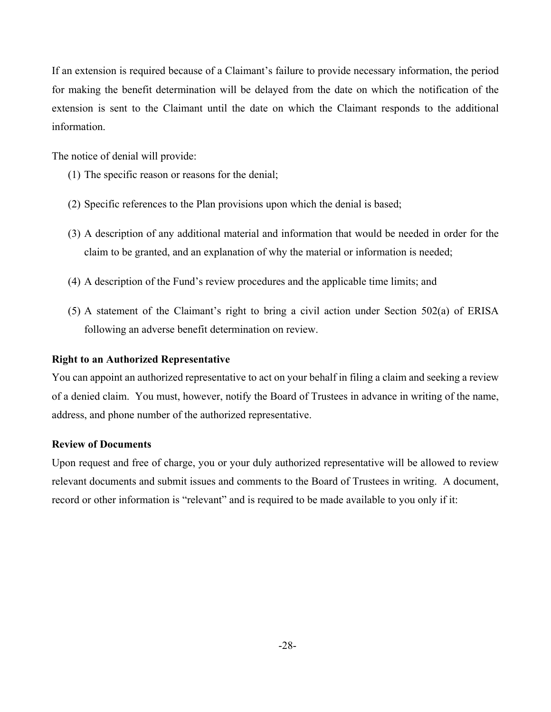If an extension is required because of a Claimant's failure to provide necessary information, the period for making the benefit determination will be delayed from the date on which the notification of the extension is sent to the Claimant until the date on which the Claimant responds to the additional information.

The notice of denial will provide:

- (1) The specific reason or reasons for the denial;
- (2) Specific references to the Plan provisions upon which the denial is based;
- (3) A description of any additional material and information that would be needed in order for the claim to be granted, and an explanation of why the material or information is needed;
- (4) A description of the Fund's review procedures and the applicable time limits; and
- (5) A statement of the Claimant's right to bring a civil action under Section 502(a) of ERISA following an adverse benefit determination on review.

### **Right to an Authorized Representative**

You can appoint an authorized representative to act on your behalf in filing a claim and seeking a review of a denied claim. You must, however, notify the Board of Trustees in advance in writing of the name, address, and phone number of the authorized representative.

### **Review of Documents**

Upon request and free of charge, you or your duly authorized representative will be allowed to review relevant documents and submit issues and comments to the Board of Trustees in writing. A document, record or other information is "relevant" and is required to be made available to you only if it: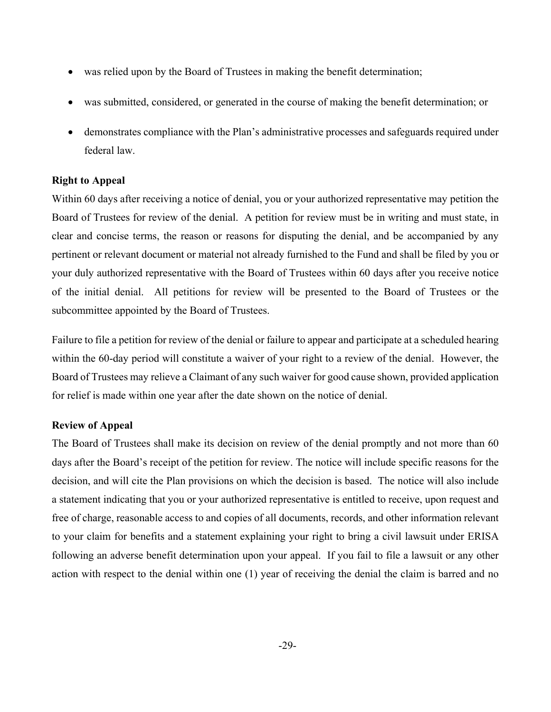- was relied upon by the Board of Trustees in making the benefit determination;
- was submitted, considered, or generated in the course of making the benefit determination; or
- demonstrates compliance with the Plan's administrative processes and safeguards required under federal law.

# **Right to Appeal**

Within 60 days after receiving a notice of denial, you or your authorized representative may petition the Board of Trustees for review of the denial. A petition for review must be in writing and must state, in clear and concise terms, the reason or reasons for disputing the denial, and be accompanied by any pertinent or relevant document or material not already furnished to the Fund and shall be filed by you or your duly authorized representative with the Board of Trustees within 60 days after you receive notice of the initial denial. All petitions for review will be presented to the Board of Trustees or the subcommittee appointed by the Board of Trustees.

Failure to file a petition for review of the denial or failure to appear and participate at a scheduled hearing within the 60-day period will constitute a waiver of your right to a review of the denial. However, the Board of Trustees may relieve a Claimant of any such waiver for good cause shown, provided application for relief is made within one year after the date shown on the notice of denial.

# **Review of Appeal**

The Board of Trustees shall make its decision on review of the denial promptly and not more than 60 days after the Board's receipt of the petition for review. The notice will include specific reasons for the decision, and will cite the Plan provisions on which the decision is based. The notice will also include a statement indicating that you or your authorized representative is entitled to receive, upon request and free of charge, reasonable access to and copies of all documents, records, and other information relevant to your claim for benefits and a statement explaining your right to bring a civil lawsuit under ERISA following an adverse benefit determination upon your appeal. If you fail to file a lawsuit or any other action with respect to the denial within one (1) year of receiving the denial the claim is barred and no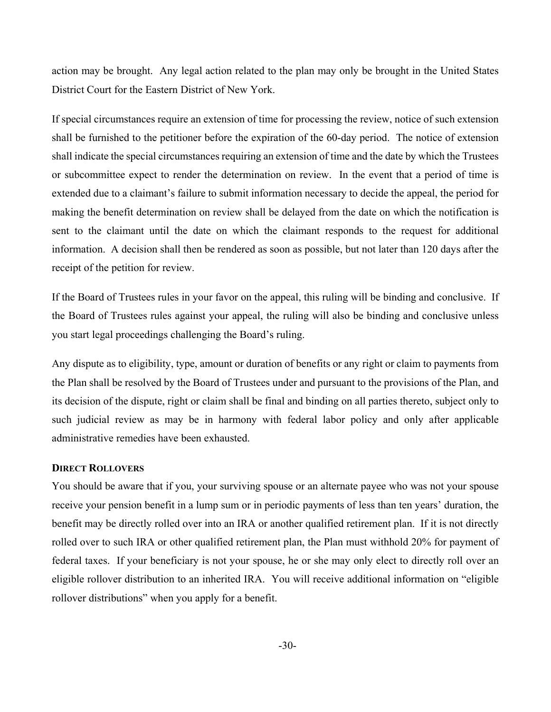action may be brought. Any legal action related to the plan may only be brought in the United States District Court for the Eastern District of New York.

If special circumstances require an extension of time for processing the review, notice of such extension shall be furnished to the petitioner before the expiration of the 60-day period. The notice of extension shall indicate the special circumstances requiring an extension of time and the date by which the Trustees or subcommittee expect to render the determination on review. In the event that a period of time is extended due to a claimant's failure to submit information necessary to decide the appeal, the period for making the benefit determination on review shall be delayed from the date on which the notification is sent to the claimant until the date on which the claimant responds to the request for additional information. A decision shall then be rendered as soon as possible, but not later than 120 days after the receipt of the petition for review.

If the Board of Trustees rules in your favor on the appeal, this ruling will be binding and conclusive. If the Board of Trustees rules against your appeal, the ruling will also be binding and conclusive unless you start legal proceedings challenging the Board's ruling.

Any dispute as to eligibility, type, amount or duration of benefits or any right or claim to payments from the Plan shall be resolved by the Board of Trustees under and pursuant to the provisions of the Plan, and its decision of the dispute, right or claim shall be final and binding on all parties thereto, subject only to such judicial review as may be in harmony with federal labor policy and only after applicable administrative remedies have been exhausted.

#### **DIRECT ROLLOVERS**

You should be aware that if you, your surviving spouse or an alternate payee who was not your spouse receive your pension benefit in a lump sum or in periodic payments of less than ten years' duration, the benefit may be directly rolled over into an IRA or another qualified retirement plan. If it is not directly rolled over to such IRA or other qualified retirement plan, the Plan must withhold 20% for payment of federal taxes. If your beneficiary is not your spouse, he or she may only elect to directly roll over an eligible rollover distribution to an inherited IRA. You will receive additional information on "eligible rollover distributions" when you apply for a benefit.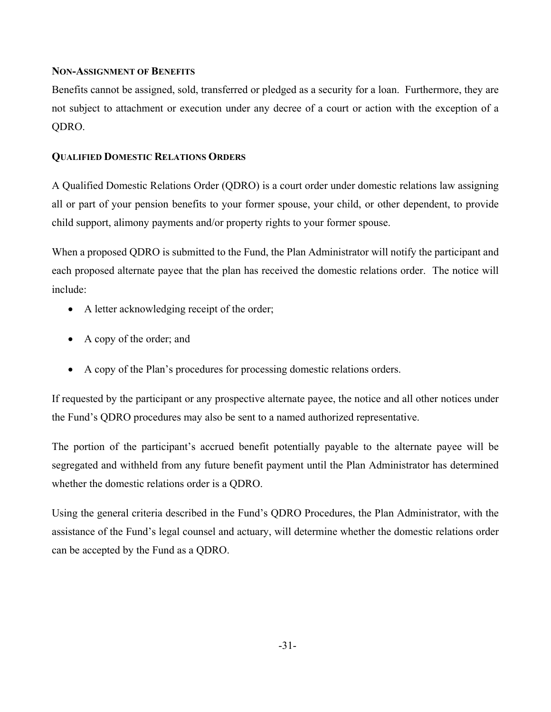## **NON-ASSIGNMENT OF BENEFITS**

Benefits cannot be assigned, sold, transferred or pledged as a security for a loan. Furthermore, they are not subject to attachment or execution under any decree of a court or action with the exception of a QDRO.

# **QUALIFIED DOMESTIC RELATIONS ORDERS**

A Qualified Domestic Relations Order (QDRO) is a court order under domestic relations law assigning all or part of your pension benefits to your former spouse, your child, or other dependent, to provide child support, alimony payments and/or property rights to your former spouse.

When a proposed QDRO is submitted to the Fund, the Plan Administrator will notify the participant and each proposed alternate payee that the plan has received the domestic relations order. The notice will include:

- A letter acknowledging receipt of the order;
- A copy of the order; and
- A copy of the Plan's procedures for processing domestic relations orders.

If requested by the participant or any prospective alternate payee, the notice and all other notices under the Fund's QDRO procedures may also be sent to a named authorized representative.

The portion of the participant's accrued benefit potentially payable to the alternate payee will be segregated and withheld from any future benefit payment until the Plan Administrator has determined whether the domestic relations order is a QDRO.

Using the general criteria described in the Fund's QDRO Procedures, the Plan Administrator, with the assistance of the Fund's legal counsel and actuary, will determine whether the domestic relations order can be accepted by the Fund as a QDRO.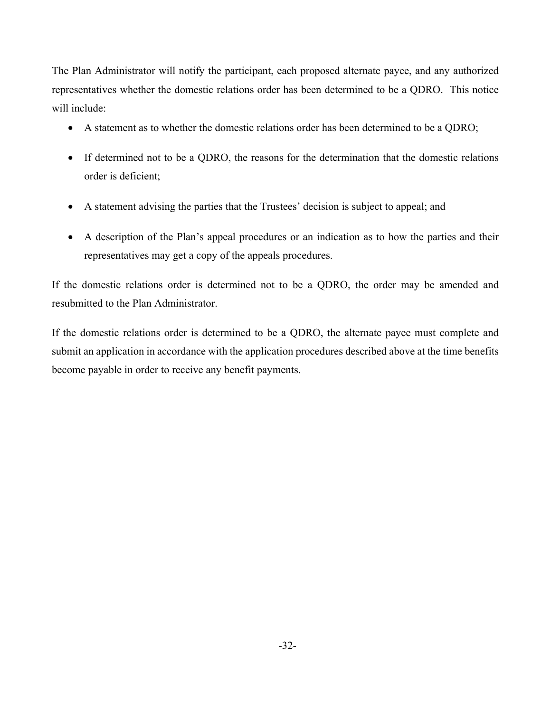The Plan Administrator will notify the participant, each proposed alternate payee, and any authorized representatives whether the domestic relations order has been determined to be a QDRO. This notice will include:

- A statement as to whether the domestic relations order has been determined to be a QDRO;
- If determined not to be a QDRO, the reasons for the determination that the domestic relations order is deficient;
- A statement advising the parties that the Trustees' decision is subject to appeal; and
- A description of the Plan's appeal procedures or an indication as to how the parties and their representatives may get a copy of the appeals procedures.

If the domestic relations order is determined not to be a QDRO, the order may be amended and resubmitted to the Plan Administrator.

If the domestic relations order is determined to be a QDRO, the alternate payee must complete and submit an application in accordance with the application procedures described above at the time benefits become payable in order to receive any benefit payments.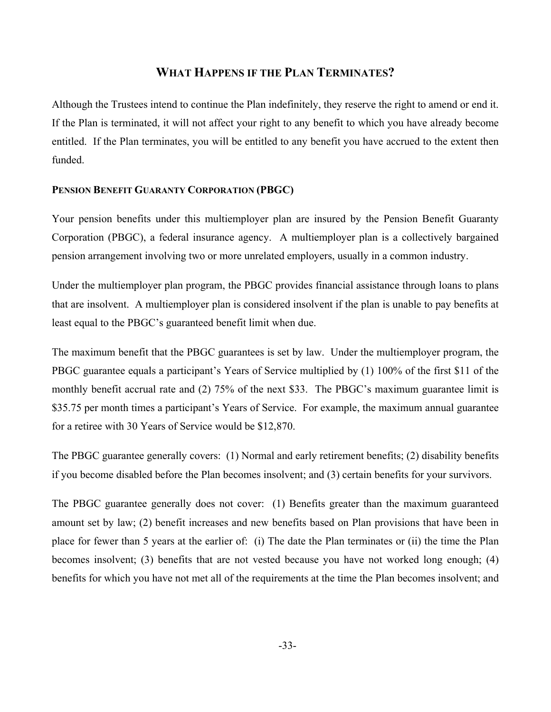# **WHAT HAPPENS IF THE PLAN TERMINATES?**

Although the Trustees intend to continue the Plan indefinitely, they reserve the right to amend or end it. If the Plan is terminated, it will not affect your right to any benefit to which you have already become entitled. If the Plan terminates, you will be entitled to any benefit you have accrued to the extent then funded.

#### **PENSION BENEFIT GUARANTY CORPORATION (PBGC)**

Your pension benefits under this multiemployer plan are insured by the Pension Benefit Guaranty Corporation (PBGC), a federal insurance agency. A multiemployer plan is a collectively bargained pension arrangement involving two or more unrelated employers, usually in a common industry.

Under the multiemployer plan program, the PBGC provides financial assistance through loans to plans that are insolvent. A multiemployer plan is considered insolvent if the plan is unable to pay benefits at least equal to the PBGC's guaranteed benefit limit when due.

The maximum benefit that the PBGC guarantees is set by law. Under the multiemployer program, the PBGC guarantee equals a participant's Years of Service multiplied by (1) 100% of the first \$11 of the monthly benefit accrual rate and (2) 75% of the next \$33. The PBGC's maximum guarantee limit is \$35.75 per month times a participant's Years of Service. For example, the maximum annual guarantee for a retiree with 30 Years of Service would be \$12,870.

The PBGC guarantee generally covers: (1) Normal and early retirement benefits; (2) disability benefits if you become disabled before the Plan becomes insolvent; and (3) certain benefits for your survivors.

The PBGC guarantee generally does not cover: (1) Benefits greater than the maximum guaranteed amount set by law; (2) benefit increases and new benefits based on Plan provisions that have been in place for fewer than 5 years at the earlier of: (i) The date the Plan terminates or (ii) the time the Plan becomes insolvent; (3) benefits that are not vested because you have not worked long enough; (4) benefits for which you have not met all of the requirements at the time the Plan becomes insolvent; and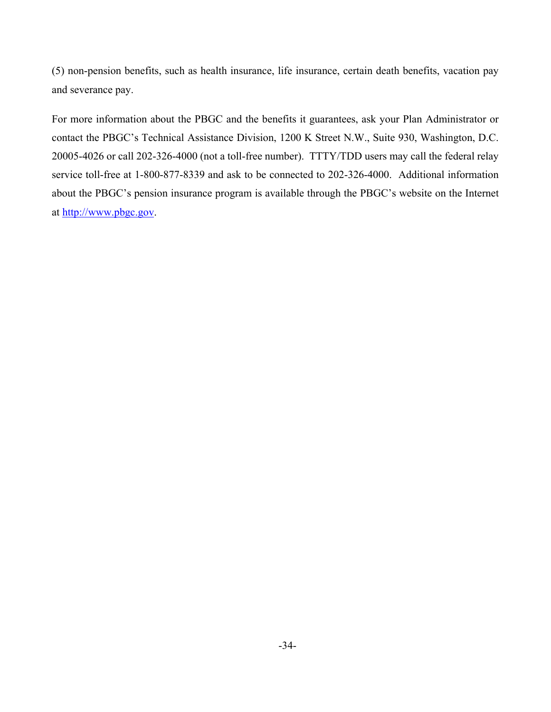(5) non-pension benefits, such as health insurance, life insurance, certain death benefits, vacation pay and severance pay.

For more information about the PBGC and the benefits it guarantees, ask your Plan Administrator or contact the PBGC's Technical Assistance Division, 1200 K Street N.W., Suite 930, Washington, D.C. 20005-4026 or call 202-326-4000 (not a toll-free number). TTTY/TDD users may call the federal relay service toll-free at 1-800-877-8339 and ask to be connected to 202-326-4000. Additional information about the PBGC's pension insurance program is available through the PBGC's website on the Internet at [http://www.pbgc.gov.](http://www.pbgc.gov/)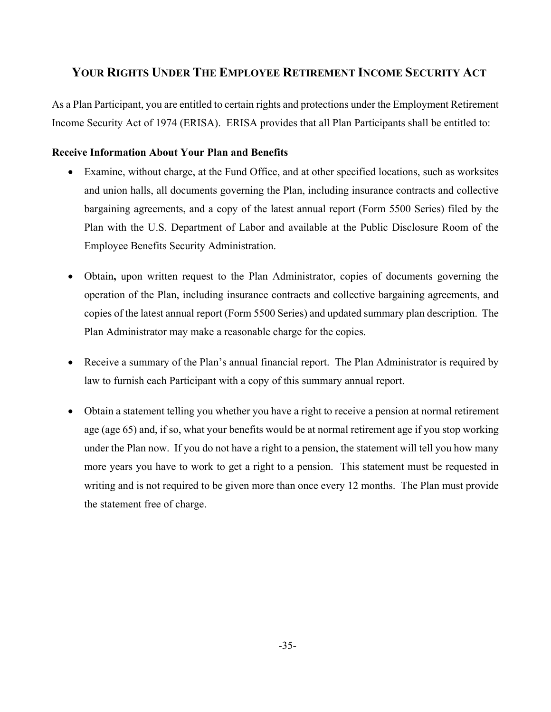# **YOUR RIGHTS UNDER THE EMPLOYEE RETIREMENT INCOME SECURITY ACT**

As a Plan Participant, you are entitled to certain rights and protections under the Employment Retirement Income Security Act of 1974 (ERISA). ERISA provides that all Plan Participants shall be entitled to:

# **Receive Information About Your Plan and Benefits**

- Examine, without charge, at the Fund Office, and at other specified locations, such as worksites and union halls, all documents governing the Plan, including insurance contracts and collective bargaining agreements, and a copy of the latest annual report (Form 5500 Series) filed by the Plan with the U.S. Department of Labor and available at the Public Disclosure Room of the Employee Benefits Security Administration.
- Obtain**,** upon written request to the Plan Administrator, copies of documents governing the operation of the Plan, including insurance contracts and collective bargaining agreements, and copies of the latest annual report (Form 5500 Series) and updated summary plan description. The Plan Administrator may make a reasonable charge for the copies.
- Receive a summary of the Plan's annual financial report. The Plan Administrator is required by law to furnish each Participant with a copy of this summary annual report.
- Obtain a statement telling you whether you have a right to receive a pension at normal retirement age (age 65) and, if so, what your benefits would be at normal retirement age if you stop working under the Plan now. If you do not have a right to a pension, the statement will tell you how many more years you have to work to get a right to a pension. This statement must be requested in writing and is not required to be given more than once every 12 months. The Plan must provide the statement free of charge.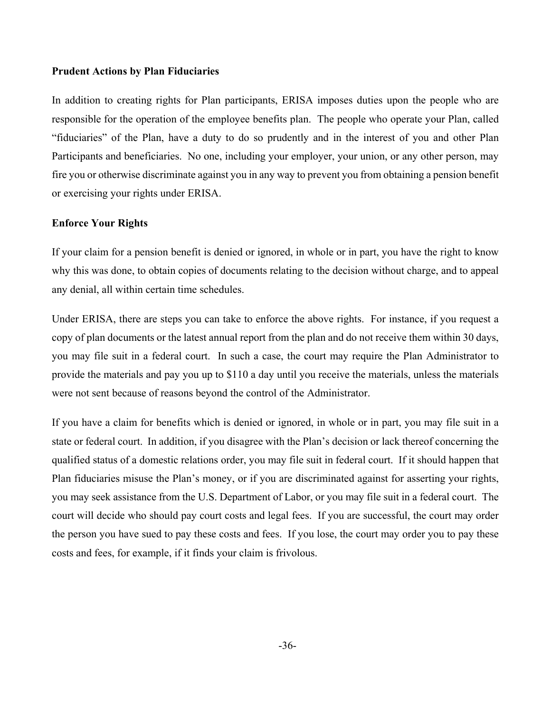#### **Prudent Actions by Plan Fiduciaries**

In addition to creating rights for Plan participants, ERISA imposes duties upon the people who are responsible for the operation of the employee benefits plan. The people who operate your Plan, called "fiduciaries" of the Plan, have a duty to do so prudently and in the interest of you and other Plan Participants and beneficiaries. No one, including your employer, your union, or any other person, may fire you or otherwise discriminate against you in any way to prevent you from obtaining a pension benefit or exercising your rights under ERISA.

### **Enforce Your Rights**

If your claim for a pension benefit is denied or ignored, in whole or in part, you have the right to know why this was done, to obtain copies of documents relating to the decision without charge, and to appeal any denial, all within certain time schedules.

Under ERISA, there are steps you can take to enforce the above rights. For instance, if you request a copy of plan documents or the latest annual report from the plan and do not receive them within 30 days, you may file suit in a federal court. In such a case, the court may require the Plan Administrator to provide the materials and pay you up to \$110 a day until you receive the materials, unless the materials were not sent because of reasons beyond the control of the Administrator.

If you have a claim for benefits which is denied or ignored, in whole or in part, you may file suit in a state or federal court. In addition, if you disagree with the Plan's decision or lack thereof concerning the qualified status of a domestic relations order, you may file suit in federal court. If it should happen that Plan fiduciaries misuse the Plan's money, or if you are discriminated against for asserting your rights, you may seek assistance from the U.S. Department of Labor, or you may file suit in a federal court. The court will decide who should pay court costs and legal fees. If you are successful, the court may order the person you have sued to pay these costs and fees. If you lose, the court may order you to pay these costs and fees, for example, if it finds your claim is frivolous.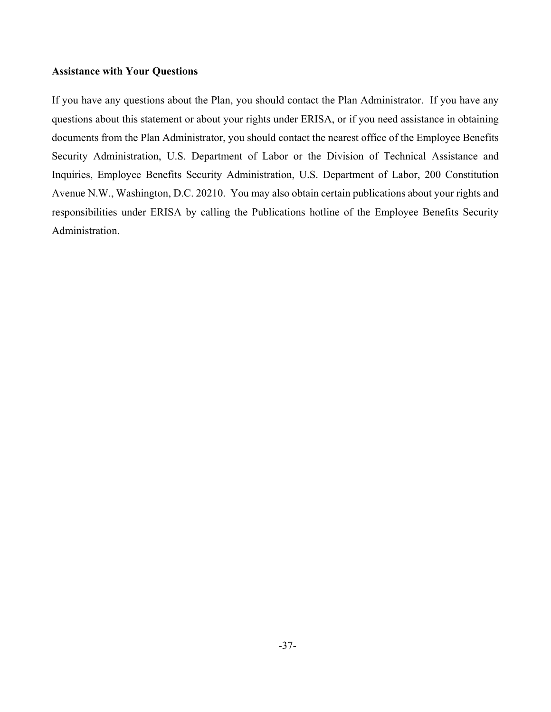### **Assistance with Your Questions**

If you have any questions about the Plan, you should contact the Plan Administrator. If you have any questions about this statement or about your rights under ERISA, or if you need assistance in obtaining documents from the Plan Administrator, you should contact the nearest office of the Employee Benefits Security Administration, U.S. Department of Labor or the Division of Technical Assistance and Inquiries, Employee Benefits Security Administration, U.S. Department of Labor, 200 Constitution Avenue N.W., Washington, D.C. 20210. You may also obtain certain publications about your rights and responsibilities under ERISA by calling the Publications hotline of the Employee Benefits Security Administration.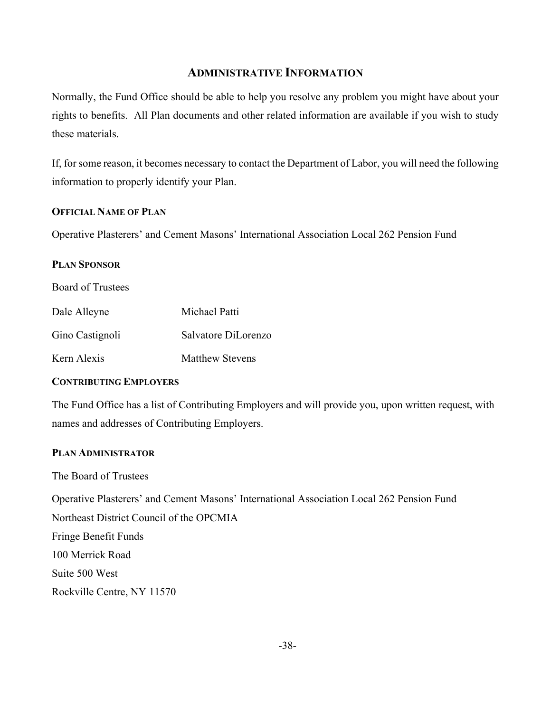# **ADMINISTRATIVE INFORMATION**

Normally, the Fund Office should be able to help you resolve any problem you might have about your rights to benefits. All Plan documents and other related information are available if you wish to study these materials.

If, for some reason, it becomes necessary to contact the Department of Labor, you will need the following information to properly identify your Plan.

### **OFFICIAL NAME OF PLAN**

Operative Plasterers' and Cement Masons' International Association Local 262 Pension Fund

### **PLAN SPONSOR**

Board of Trustees

| Dale Alleyne    | Michael Patti          |
|-----------------|------------------------|
| Gino Castignoli | Salvatore DiLorenzo    |
| Kern Alexis     | <b>Matthew Stevens</b> |

### **CONTRIBUTING EMPLOYERS**

The Fund Office has a list of Contributing Employers and will provide you, upon written request, with names and addresses of Contributing Employers.

# **PLAN ADMINISTRATOR**

The Board of Trustees

Operative Plasterers' and Cement Masons' International Association Local 262 Pension Fund Northeast District Council of the OPCMIA Fringe Benefit Funds 100 Merrick Road Suite 500 West

Rockville Centre, NY 11570